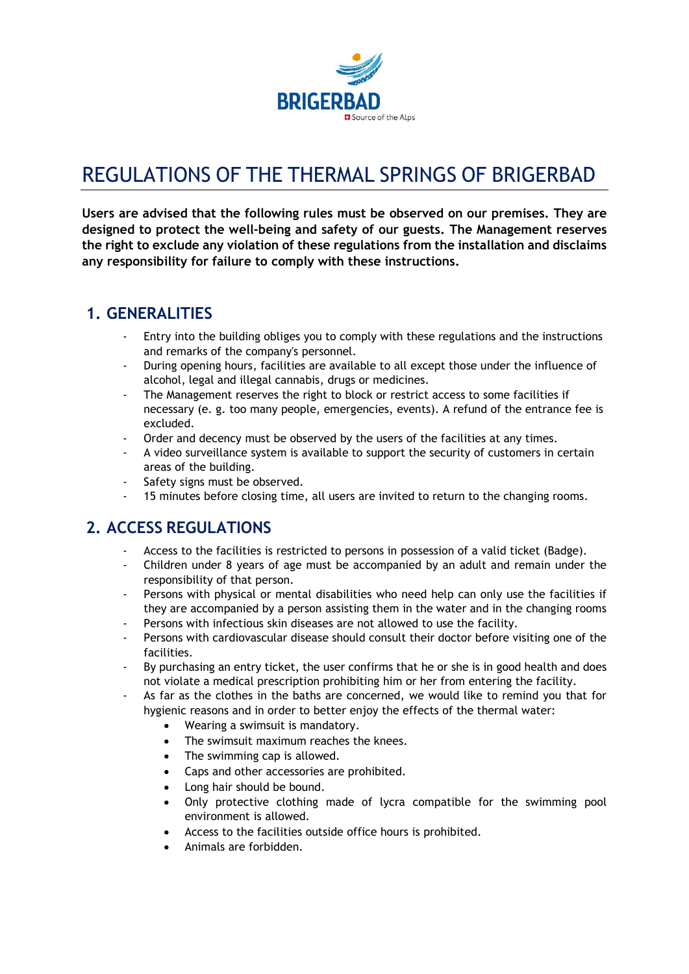

# REGULATIONS OF THE THERMAL SPRINGS OF BRIGERBAD

Users are advised that the following rules must be observed on our premises. They are designed to protect the well-being and safety of our guests. The Management reserves the right to exclude any violation of these regulations from the installation and disclaims any responsibility for failure to comply with these instructions.

## 1. GENERALITIES

- Entry into the building obliges you to comply with these regulations and the instructions and remarks of the company's personnel.
- During opening hours, facilities are available to all except those under the influence of alcohol, legal and illegal cannabis, drugs or medicines.
- The Management reserves the right to block or restrict access to some facilities if necessary (e. g. too many people, emergencies, events). A refund of the entrance fee is excluded.
- Order and decency must be observed by the users of the facilities at any times.
- A video surveillance system is available to support the security of customers in certain areas of the building.
- Safety signs must be observed.
- 15 minutes before closing time, all users are invited to return to the changing rooms.

# 2. ACCESS REGULATIONS

- Access to the facilities is restricted to persons in possession of a valid ticket (Badge).
- Children under 8 years of age must be accompanied by an adult and remain under the responsibility of that person.
- Persons with physical or mental disabilities who need help can only use the facilities if they are accompanied by a person assisting them in the water and in the changing rooms
- Persons with infectious skin diseases are not allowed to use the facility.
- Persons with cardiovascular disease should consult their doctor before visiting one of the facilities.
- By purchasing an entry ticket, the user confirms that he or she is in good health and does not violate a medical prescription prohibiting him or her from entering the facility.
- As far as the clothes in the baths are concerned, we would like to remind you that for hygienic reasons and in order to better enjoy the effects of the thermal water:
	- Wearing a swimsuit is mandatory.
	- The swimsuit maximum reaches the knees.
	- The swimming cap is allowed.
	- Caps and other accessories are prohibited.
	- Long hair should be bound.
	- Only protective clothing made of lycra compatible for the swimming pool environment is allowed.
	- Access to the facilities outside office hours is prohibited.
	- Animals are forbidden.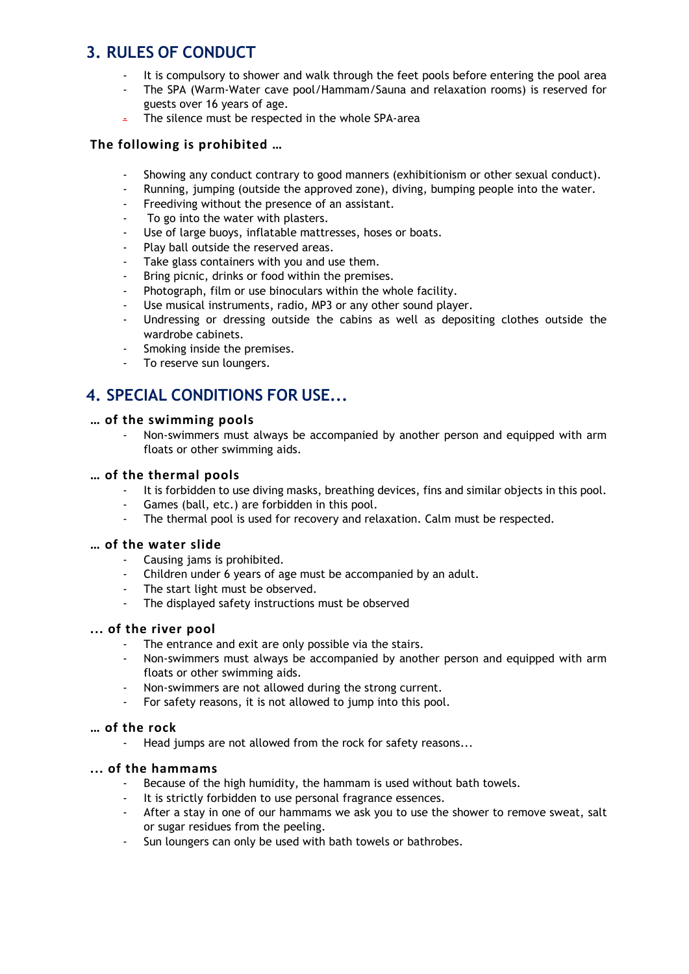# 3. RULES OF CONDUCT

- It is compulsory to shower and walk through the feet pools before entering the pool area
- The SPA (Warm-Water cave pool/Hammam/Sauna and relaxation rooms) is reserved for guests over 16 years of age.
- The silence must be respected in the whole SPA-area

#### The following is prohibited …

- Showing any conduct contrary to good manners (exhibitionism or other sexual conduct).
- Running, jumping (outside the approved zone), diving, bumping people into the water.
- Freediving without the presence of an assistant.
- To go into the water with plasters.
- Use of large buoys, inflatable mattresses, hoses or boats.
- Play ball outside the reserved areas.
- Take glass containers with you and use them.
- Bring picnic, drinks or food within the premises.
- Photograph, film or use binoculars within the whole facility.
- Use musical instruments, radio, MP3 or any other sound player.
- Undressing or dressing outside the cabins as well as depositing clothes outside the wardrobe cabinets.
- Smoking inside the premises.
- To reserve sun loungers.

# 4. SPECIAL CONDITIONS FOR USE...

#### … of the swimming pools

Non-swimmers must always be accompanied by another person and equipped with arm floats or other swimming aids.

#### … of the thermal pools

- It is forbidden to use diving masks, breathing devices, fins and similar objects in this pool.
- Games (ball, etc.) are forbidden in this pool.
- The thermal pool is used for recovery and relaxation. Calm must be respected.

#### … of the water slide

- Causing jams is prohibited.
- Children under 6 years of age must be accompanied by an adult.
- The start light must be observed.
- The displayed safety instructions must be observed

#### ... of the river pool

- The entrance and exit are only possible via the stairs.
- Non-swimmers must always be accompanied by another person and equipped with arm floats or other swimming aids.
- Non-swimmers are not allowed during the strong current.
- For safety reasons, it is not allowed to jump into this pool.

#### … of the rock

- Head jumps are not allowed from the rock for safety reasons...

#### ... of the hammams

- Because of the high humidity, the hammam is used without bath towels.
- It is strictly forbidden to use personal fragrance essences.
- After a stay in one of our hammams we ask you to use the shower to remove sweat, salt or sugar residues from the peeling.
- Sun loungers can only be used with bath towels or bathrobes.